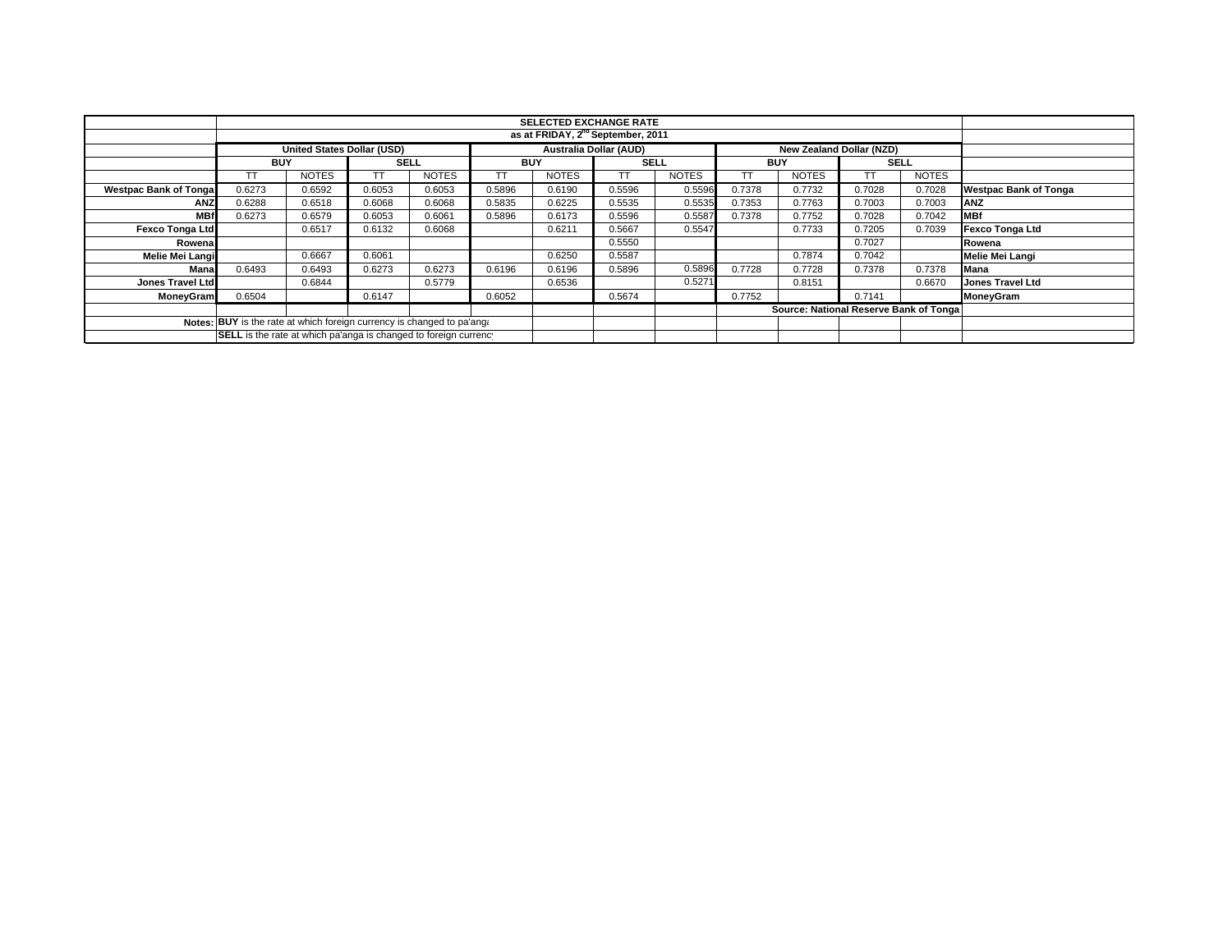|                                                                        |                                                                  |              |             |              |            | <b>SELECTED EXCHANGE RATE</b> |                               |              |            |                                         |             |              |                              |
|------------------------------------------------------------------------|------------------------------------------------------------------|--------------|-------------|--------------|------------|-------------------------------|-------------------------------|--------------|------------|-----------------------------------------|-------------|--------------|------------------------------|
|                                                                        | as at FRIDAY, 2 <sup>nd</sup> September, 2011                    |              |             |              |            |                               |                               |              |            |                                         |             |              |                              |
|                                                                        | United States Dollar (USD)                                       |              |             |              |            |                               | <b>Australia Dollar (AUD)</b> |              |            | New Zealand Dollar (NZD)                |             |              |                              |
|                                                                        | <b>BUY</b>                                                       |              | <b>SELL</b> |              | <b>BUY</b> |                               | <b>SELL</b>                   |              | <b>BUY</b> |                                         | <b>SELL</b> |              |                              |
|                                                                        |                                                                  | <b>NOTES</b> |             | <b>NOTES</b> |            | <b>NOTES</b>                  | TТ                            | <b>NOTES</b> | TТ         | <b>NOTES</b>                            | ТT          | <b>NOTES</b> |                              |
| <b>Westpac Bank of Tongal</b>                                          | 0.6273                                                           | 0.6592       | 0.6053      | 0.6053       | 0.5896     | 0.6190                        | 0.5596                        | 0.5596       | 0.7378     | 0.7732                                  | 0.7028      | 0.7028       | <b>Westpac Bank of Tonga</b> |
| <b>ANZ</b>                                                             | 0.6288                                                           | 0.6518       | 0.6068      | 0.6068       | 0.5835     | 0.6225                        | 0.5535                        | 0.5535       | 0.7353     | 0.7763                                  | 0.7003      | 0.7003       | <b>ANZ</b>                   |
| <b>MBf</b>                                                             | 0.6273                                                           | 0.6579       | 0.6053      | 0.6061       | 0.5896     | 0.6173                        | 0.5596                        | 0.5587       | 0.7378     | 0.7752                                  | 0.7028      | 0.7042       | <b>MBf</b>                   |
| <b>Fexco Tonga Ltd</b>                                                 |                                                                  | 0.6517       | 0.6132      | 0.6068       |            | 0.6211                        | 0.5667                        | 0.5547       |            | 0.7733                                  | 0.7205      | 0.7039       | <b>Fexco Tonga Ltd</b>       |
| Rowenal                                                                |                                                                  |              |             |              |            |                               | 0.5550                        |              |            |                                         | 0.7027      |              | Rowena                       |
| Melie Mei Langi                                                        |                                                                  | 0.6667       | 0.6061      |              |            | 0.6250                        | 0.5587                        |              |            | 0.7874                                  | 0.7042      |              | Melie Mei Langi              |
| Mana                                                                   | 0.6493                                                           | 0.6493       | 0.6273      | 0.6273       | 0.6196     | 0.6196                        | 0.5896                        | 0.5896       | 0.7728     | 0.7728                                  | 0.7378      | 0.7378       | Mana                         |
| Jones Travel Ltd                                                       |                                                                  | 0.6844       |             | 0.5779       |            | 0.6536                        |                               | 0.5271       |            | 0.8151                                  |             | 0.6670       | <b>Jones Travel Ltd</b>      |
| <b>MoneyGram</b>                                                       | 0.6504                                                           |              | 0.6147      |              | 0.6052     |                               | 0.5674                        |              | 0.7752     |                                         | 0.7141      |              | <b>MoneyGram</b>             |
|                                                                        |                                                                  |              |             |              |            |                               |                               |              |            | Source: National Reserve Bank of Tongal |             |              |                              |
| Notes: BUY is the rate at which foreign currency is changed to pa'ang. |                                                                  |              |             |              |            |                               |                               |              |            |                                         |             |              |                              |
|                                                                        | SELL is the rate at which pa'anga is changed to foreign currency |              |             |              |            |                               |                               |              |            |                                         |             |              |                              |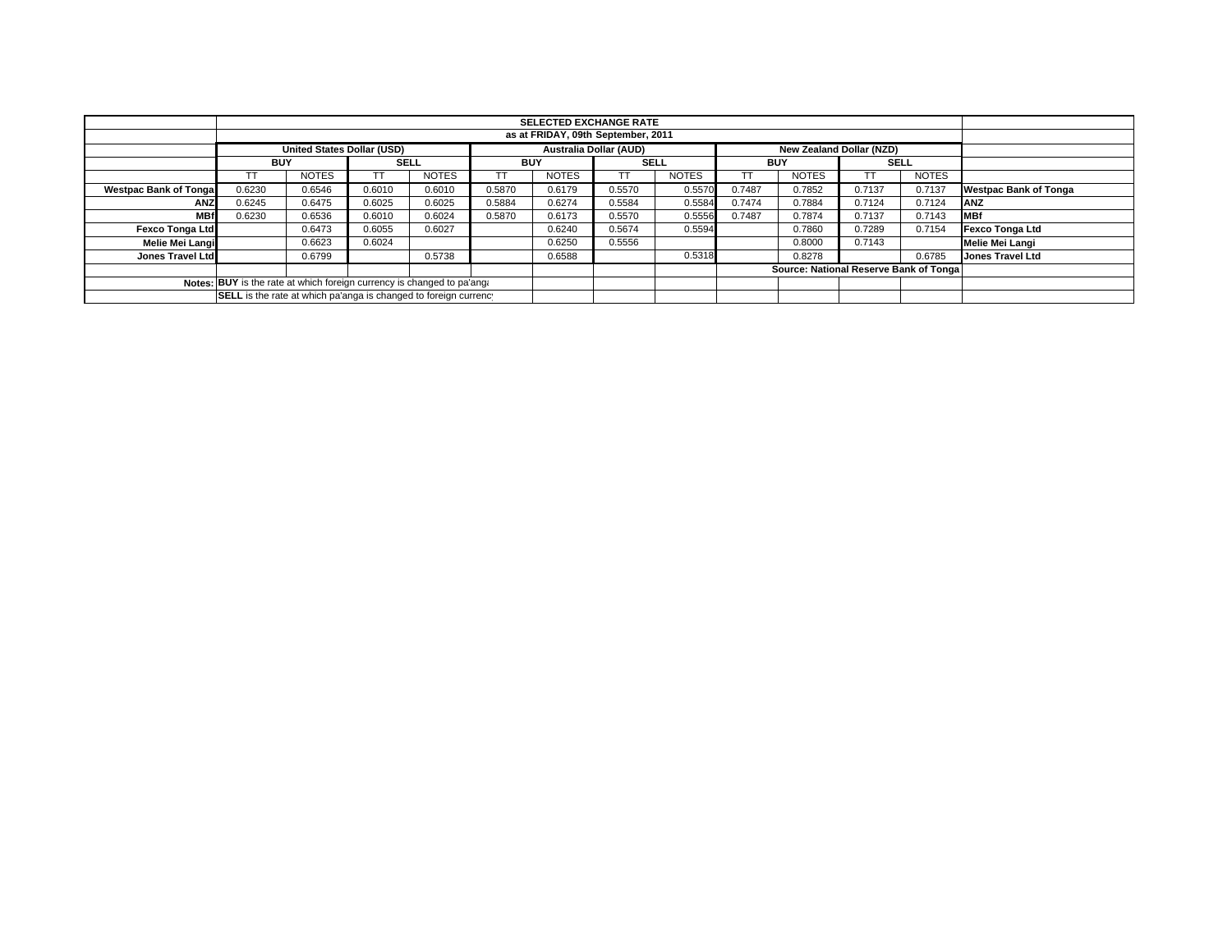|                                                                        |                                                                  |                                    |             |              |            | <b>SELECTED EXCHANGE RATE</b> |             |              |            |                                        |             |              |                              |
|------------------------------------------------------------------------|------------------------------------------------------------------|------------------------------------|-------------|--------------|------------|-------------------------------|-------------|--------------|------------|----------------------------------------|-------------|--------------|------------------------------|
|                                                                        |                                                                  | as at FRIDAY, 09th September, 2011 |             |              |            |                               |             |              |            |                                        |             |              |                              |
|                                                                        |                                                                  | <b>United States Dollar (USD)</b>  |             |              |            | <b>Australia Dollar (AUD)</b> |             |              |            | New Zealand Dollar (NZD)               |             |              |                              |
|                                                                        | <b>BUY</b>                                                       |                                    | <b>SELL</b> |              | <b>BUY</b> |                               | <b>SELL</b> |              | <b>BUY</b> |                                        | <b>SELL</b> |              |                              |
|                                                                        |                                                                  | <b>NOTES</b>                       |             | <b>NOTES</b> |            | <b>NOTES</b>                  |             | <b>NOTES</b> |            | <b>NOTES</b>                           |             | <b>NOTES</b> |                              |
| <b>Westpac Bank of Tongal</b>                                          | 0.6230                                                           | 0.6546                             | 0.6010      | 0.6010       | 0.5870     | 0.6179                        | 0.5570      | 0.5570       | 0.7487     | 0.7852                                 | 0.7137      | 0.7137       | <b>Westpac Bank of Tonga</b> |
| <b>ANZ</b>                                                             | 0.6245                                                           | 0.6475                             | 0.6025      | 0.6025       | 0.5884     | 0.6274                        | 0.5584      | 0.5584       | 0.7474     | 0.7884                                 | 0.7124      | 0.7124       | <b>ANZ</b>                   |
| <b>MBf</b>                                                             | 0.6230                                                           | 0.6536                             | 0.6010      | 0.6024       | 0.5870     | 0.6173                        | 0.5570      | 0.5556       | 0.7487     | 0.7874                                 | 0.7137      | 0.7143       | <b>IMBf</b>                  |
| <b>Fexco Tonga Ltd</b>                                                 |                                                                  | 0.6473                             | 0.6055      | 0.6027       |            | 0.6240                        | 0.5674      | 0.5594       |            | 0.7860                                 | 0.7289      | 0.7154       | Fexco Tonga Ltd              |
| Melie Mei Langi                                                        |                                                                  | 0.6623                             | 0.6024      |              |            | 0.6250                        | 0.5556      |              |            | 0.8000                                 | 0.7143      |              | Melie Mei Langi              |
| Jones Travel Ltd                                                       |                                                                  | 0.6799                             |             | 0.5738       |            | 0.6588                        |             | 0.5318       |            | 0.8278                                 |             | 0.6785       | Jones Travel Ltd             |
|                                                                        |                                                                  |                                    |             |              |            |                               |             |              |            | Source: National Reserve Bank of Tonga |             |              |                              |
| Notes: BUY is the rate at which foreign currency is changed to pa'ang. |                                                                  |                                    |             |              |            |                               |             |              |            |                                        |             |              |                              |
|                                                                        | SELL is the rate at which pa'anga is changed to foreign currency |                                    |             |              |            |                               |             |              |            |                                        |             |              |                              |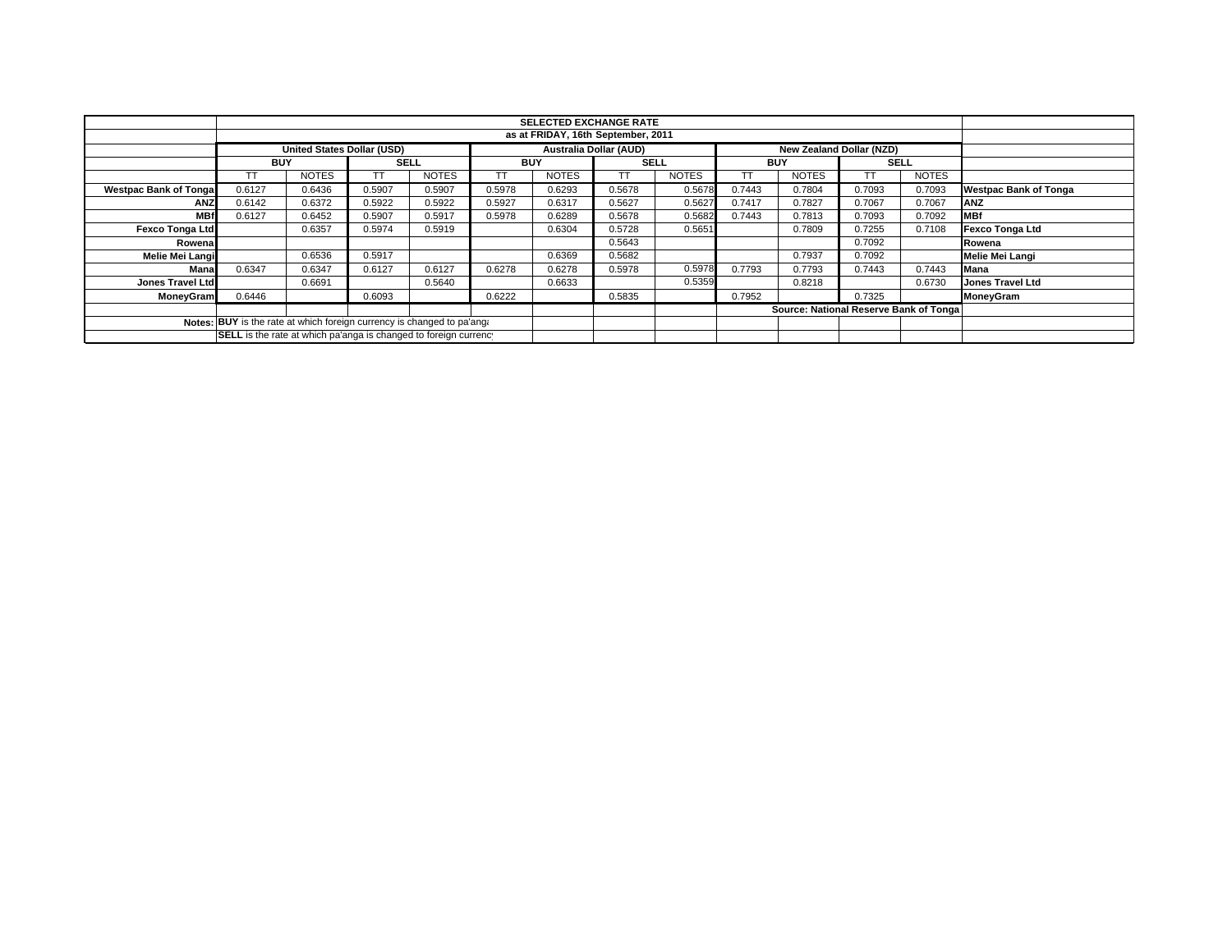|                                                                        |                                                                  |                            |             |              |            |                               | <b>SELECTED EXCHANGE RATE</b> |              |            |                                         |             |              |                              |
|------------------------------------------------------------------------|------------------------------------------------------------------|----------------------------|-------------|--------------|------------|-------------------------------|-------------------------------|--------------|------------|-----------------------------------------|-------------|--------------|------------------------------|
|                                                                        | as at FRIDAY, 16th September, 2011                               |                            |             |              |            |                               |                               |              |            |                                         |             |              |                              |
|                                                                        |                                                                  | United States Dollar (USD) |             |              |            | <b>Australia Dollar (AUD)</b> |                               |              |            | New Zealand Dollar (NZD)                |             |              |                              |
|                                                                        | <b>BUY</b>                                                       |                            | <b>SELL</b> |              | <b>BUY</b> |                               | <b>SELL</b>                   |              | <b>BUY</b> |                                         | <b>SELL</b> |              |                              |
|                                                                        |                                                                  | <b>NOTES</b>               |             | <b>NOTES</b> |            | <b>NOTES</b>                  | TТ                            | <b>NOTES</b> | TТ         | <b>NOTES</b>                            | ТT          | <b>NOTES</b> |                              |
| <b>Westpac Bank of Tongal</b>                                          | 0.6127                                                           | 0.6436                     | 0.5907      | 0.5907       | 0.5978     | 0.6293                        | 0.5678                        | 0.5678       | 0.7443     | 0.7804                                  | 0.7093      | 0.7093       | <b>Westpac Bank of Tonga</b> |
| <b>ANZ</b>                                                             | 0.6142                                                           | 0.6372                     | 0.5922      | 0.5922       | 0.5927     | 0.6317                        | 0.5627                        | 0.5627       | 0.7417     | 0.7827                                  | 0.7067      | 0.7067       | <b>ANZ</b>                   |
| <b>MBf</b>                                                             | 0.6127                                                           | 0.6452                     | 0.5907      | 0.5917       | 0.5978     | 0.6289                        | 0.5678                        | 0.5682       | 0.7443     | 0.7813                                  | 0.7093      | 0.7092       | <b>MBf</b>                   |
| <b>Fexco Tonga Ltd</b>                                                 |                                                                  | 0.6357                     | 0.5974      | 0.5919       |            | 0.6304                        | 0.5728                        | 0.5651       |            | 0.7809                                  | 0.7255      | 0.7108       | <b>Fexco Tonga Ltd</b>       |
| Rowenal                                                                |                                                                  |                            |             |              |            |                               | 0.5643                        |              |            |                                         | 0.7092      |              | Rowena                       |
| Melie Mei Langi                                                        |                                                                  | 0.6536                     | 0.5917      |              |            | 0.6369                        | 0.5682                        |              |            | 0.7937                                  | 0.7092      |              | Melie Mei Langi              |
| Mana                                                                   | 0.6347                                                           | 0.6347                     | 0.6127      | 0.6127       | 0.6278     | 0.6278                        | 0.5978                        | 0.5978       | 0.7793     | 0.7793                                  | 0.7443      | 0.7443       | Mana                         |
| Jones Travel Ltd                                                       |                                                                  | 0.6691                     |             | 0.5640       |            | 0.6633                        |                               | 0.5359       |            | 0.8218                                  |             | 0.6730       | <b>Jones Travel Ltd</b>      |
| <b>MoneyGram</b>                                                       | 0.6446                                                           |                            | 0.6093      |              | 0.6222     |                               | 0.5835                        |              | 0.7952     |                                         | 0.7325      |              | <b>MoneyGram</b>             |
|                                                                        |                                                                  |                            |             |              |            |                               |                               |              |            | Source: National Reserve Bank of Tongal |             |              |                              |
| Notes: BUY is the rate at which foreign currency is changed to pa'ang. |                                                                  |                            |             |              |            |                               |                               |              |            |                                         |             |              |                              |
|                                                                        | SELL is the rate at which pa'anga is changed to foreign currency |                            |             |              |            |                               |                               |              |            |                                         |             |              |                              |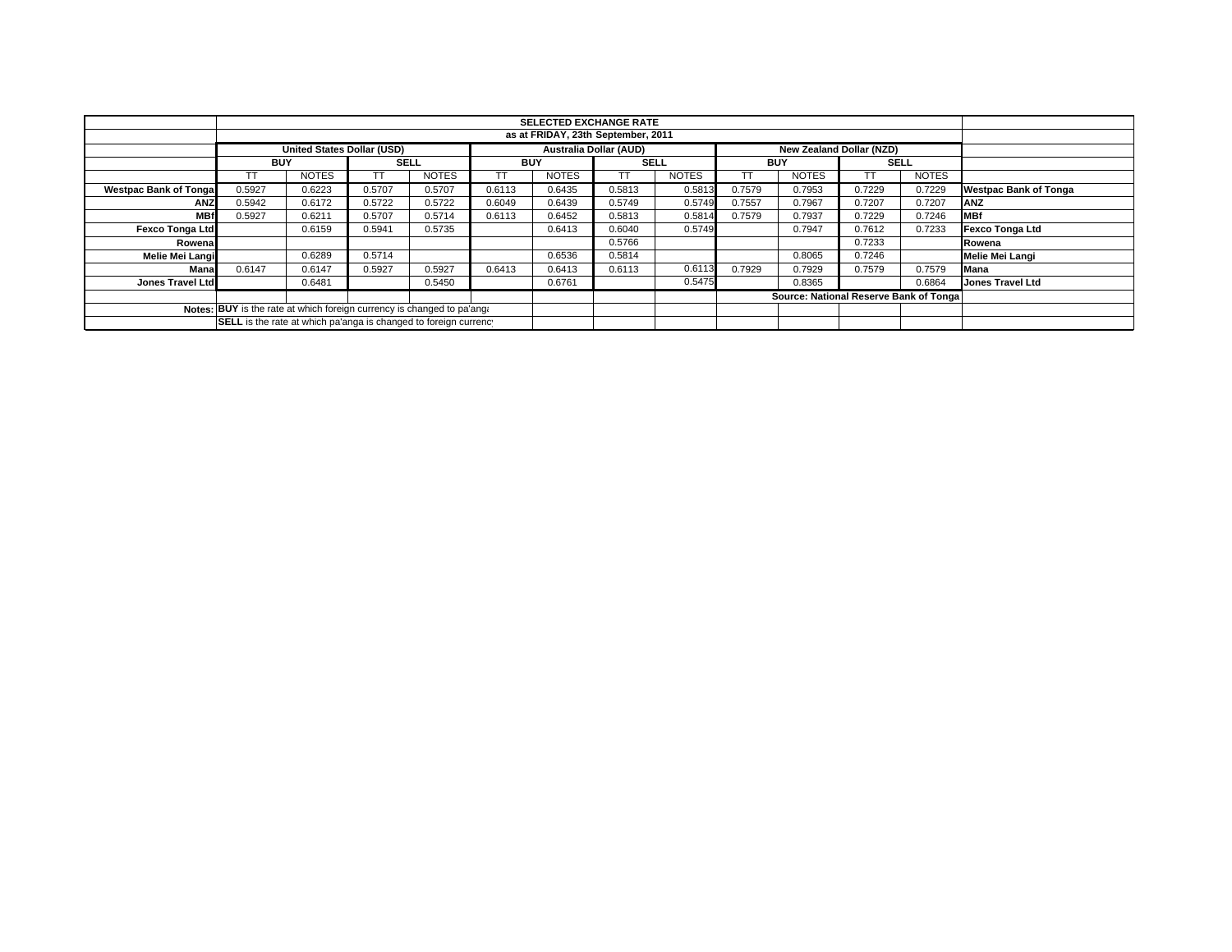|                                                                        |                                                                  | <b>SELECTED EXCHANGE RATE</b> |             |                               |            |              |                          |              |            |                                        |             |              |                              |
|------------------------------------------------------------------------|------------------------------------------------------------------|-------------------------------|-------------|-------------------------------|------------|--------------|--------------------------|--------------|------------|----------------------------------------|-------------|--------------|------------------------------|
|                                                                        | as at FRIDAY, 23th September, 2011                               |                               |             |                               |            |              |                          |              |            |                                        |             |              |                              |
|                                                                        | <b>United States Dollar (USD)</b>                                |                               |             | <b>Australia Dollar (AUD)</b> |            |              | New Zealand Dollar (NZD) |              |            |                                        |             |              |                              |
|                                                                        | <b>BUY</b>                                                       |                               | <b>SELL</b> |                               | <b>BUY</b> |              | <b>SELL</b>              |              | <b>BUY</b> |                                        | <b>SELL</b> |              |                              |
|                                                                        |                                                                  | <b>NOTES</b>                  |             | <b>NOTES</b>                  |            | <b>NOTES</b> |                          | <b>NOTES</b> |            | <b>NOTES</b>                           |             | <b>NOTES</b> |                              |
| <b>Westpac Bank of Tongal</b>                                          | 0.5927                                                           | 0.6223                        | 0.5707      | 0.5707                        | 0.6113     | 0.6435       | 0.5813                   | 0.5813       | 0.7579     | 0.7953                                 | 0.7229      | 0.7229       | <b>Westpac Bank of Tonga</b> |
| <b>ANZ</b>                                                             | 0.5942                                                           | 0.6172                        | 0.5722      | 0.5722                        | 0.6049     | 0.6439       | 0.5749                   | 0.5749       | 0.7557     | 0.7967                                 | 0.7207      | 0.7207       | <b>ANZ</b>                   |
| <b>MBf</b>                                                             | 0.5927                                                           | 0.6211                        | 0.5707      | 0.5714                        | 0.6113     | 0.6452       | 0.5813                   | 0.5814       | 0.7579     | 0.7937                                 | 0.7229      | 0.7246       | <b>MBf</b>                   |
| <b>Fexco Tonga Ltd</b>                                                 |                                                                  | 0.6159                        | 0.5941      | 0.5735                        |            | 0.6413       | 0.6040                   | 0.5749       |            | 0.7947                                 | 0.7612      | 0.7233       | Fexco Tonga Ltd              |
| Rowenal                                                                |                                                                  |                               |             |                               |            |              | 0.5766                   |              |            |                                        | 0.7233      |              | Rowena                       |
| Melie Mei Langi                                                        |                                                                  | 0.6289                        | 0.5714      |                               |            | 0.6536       | 0.5814                   |              |            | 0.8065                                 | 0.7246      |              | Melie Mei Langi              |
| Mana                                                                   | 0.6147                                                           | 0.6147                        | 0.5927      | 0.5927                        | 0.6413     | 0.6413       | 0.6113                   | 0.6113       | 0.7929     | 0.7929                                 | 0.7579      | 0.7579       | Mana                         |
| Jones Travel Ltd                                                       |                                                                  | 0.6481                        |             | 0.5450                        |            | 0.6761       |                          | 0.5475       |            | 0.8365                                 |             | 0.6864       | <b>Jones Travel Ltd</b>      |
|                                                                        |                                                                  |                               |             |                               |            |              |                          |              |            | Source: National Reserve Bank of Tonga |             |              |                              |
| Notes: BUY is the rate at which foreign currency is changed to pa'ang: |                                                                  |                               |             |                               |            |              |                          |              |            |                                        |             |              |                              |
|                                                                        | SELL is the rate at which pa'anga is changed to foreign currency |                               |             |                               |            |              |                          |              |            |                                        |             |              |                              |